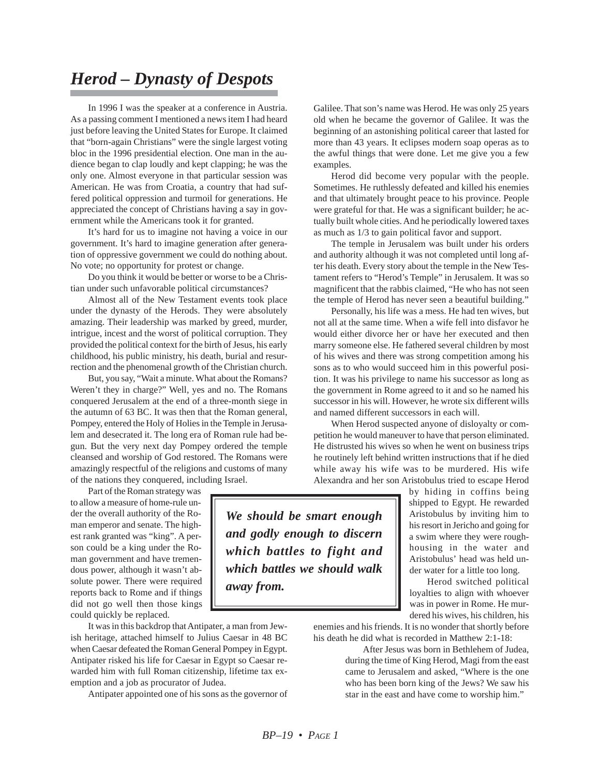## *Herod – Dynasty of Despots*

In 1996 I was the speaker at a conference in Austria. As a passing comment I mentioned a news item I had heard just before leaving the United States for Europe. It claimed that "born-again Christians" were the single largest voting bloc in the 1996 presidential election. One man in the audience began to clap loudly and kept clapping; he was the only one. Almost everyone in that particular session was American. He was from Croatia, a country that had suffered political oppression and turmoil for generations. He appreciated the concept of Christians having a say in government while the Americans took it for granted.

It's hard for us to imagine not having a voice in our government. It's hard to imagine generation after generation of oppressive government we could do nothing about. No vote; no opportunity for protest or change.

Do you think it would be better or worse to be a Christian under such unfavorable political circumstances?

Almost all of the New Testament events took place under the dynasty of the Herods. They were absolutely amazing. Their leadership was marked by greed, murder, intrigue, incest and the worst of political corruption. They provided the political context for the birth of Jesus, his early childhood, his public ministry, his death, burial and resurrection and the phenomenal growth of the Christian church.

But, you say, "Wait a minute. What about the Romans? Weren't they in charge?" Well, yes and no. The Romans conquered Jerusalem at the end of a three-month siege in the autumn of 63 BC. It was then that the Roman general, Pompey, entered the Holy of Holies in the Temple in Jerusalem and desecrated it. The long era of Roman rule had begun. But the very next day Pompey ordered the temple cleansed and worship of God restored. The Romans were amazingly respectful of the religions and customs of many of the nations they conquered, including Israel.

Part of the Roman strategy was to allow a measure of home-rule under the overall authority of the Roman emperor and senate. The highest rank granted was "king". A person could be a king under the Roman government and have tremendous power, although it wasn't absolute power. There were required reports back to Rome and if things did not go well then those kings could quickly be replaced.

It was in this backdrop that Antipater, a man from Jewish heritage, attached himself to Julius Caesar in 48 BC when Caesar defeated the Roman General Pompey in Egypt. Antipater risked his life for Caesar in Egypt so Caesar rewarded him with full Roman citizenship, lifetime tax exemption and a job as procurator of Judea.

Antipater appointed one of his sons as the governor of

Galilee. That son's name was Herod. He was only 25 years old when he became the governor of Galilee. It was the beginning of an astonishing political career that lasted for more than 43 years. It eclipses modern soap operas as to the awful things that were done. Let me give you a few examples.

Herod did become very popular with the people. Sometimes. He ruthlessly defeated and killed his enemies and that ultimately brought peace to his province. People were grateful for that. He was a significant builder; he actually built whole cities. And he periodically lowered taxes as much as 1/3 to gain political favor and support.

The temple in Jerusalem was built under his orders and authority although it was not completed until long after his death. Every story about the temple in the New Testament refers to "Herod's Temple" in Jerusalem. It was so magnificent that the rabbis claimed, "He who has not seen the temple of Herod has never seen a beautiful building."

Personally, his life was a mess. He had ten wives, but not all at the same time. When a wife fell into disfavor he would either divorce her or have her executed and then marry someone else. He fathered several children by most of his wives and there was strong competition among his sons as to who would succeed him in this powerful position. It was his privilege to name his successor as long as the government in Rome agreed to it and so he named his successor in his will. However, he wrote six different wills and named different successors in each will.

When Herod suspected anyone of disloyalty or competition he would maneuver to have that person eliminated. He distrusted his wives so when he went on business trips he routinely left behind written instructions that if he died while away his wife was to be murdered. His wife Alexandra and her son Aristobulus tried to escape Herod

*We should be smart enough and godly enough to discern which battles to fight and which battles we should walk away from.*

by hiding in coffins being shipped to Egypt. He rewarded Aristobulus by inviting him to his resort in Jericho and going for a swim where they were roughhousing in the water and Aristobulus' head was held under water for a little too long.

Herod switched political loyalties to align with whoever was in power in Rome. He murdered his wives, his children, his

enemies and his friends. It is no wonder that shortly before his death he did what is recorded in Matthew 2:1-18:

> After Jesus was born in Bethlehem of Judea, during the time of King Herod, Magi from the east came to Jerusalem and asked, "Where is the one who has been born king of the Jews? We saw his star in the east and have come to worship him."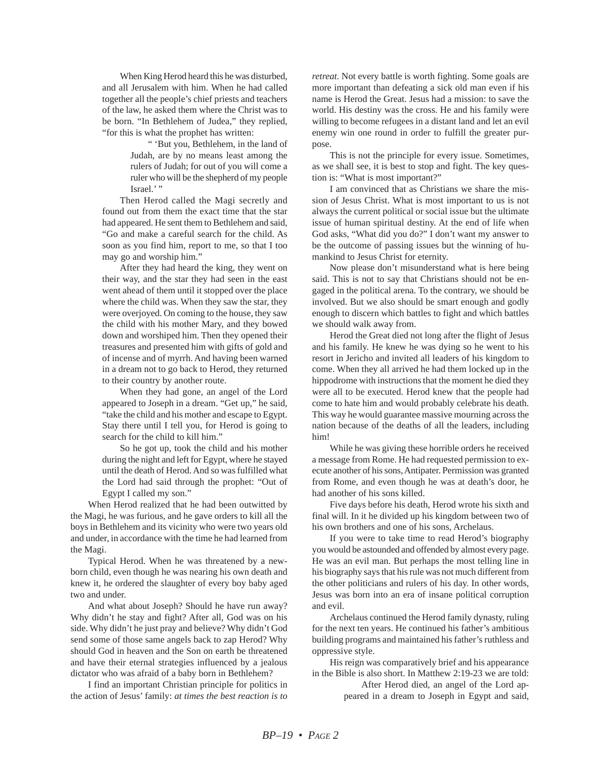When King Herod heard this he was disturbed, and all Jerusalem with him. When he had called together all the people's chief priests and teachers of the law, he asked them where the Christ was to be born. "In Bethlehem of Judea," they replied, "for this is what the prophet has written:

> " 'But you, Bethlehem, in the land of Judah, are by no means least among the rulers of Judah; for out of you will come a ruler who will be the shepherd of my people Israel.'"

Then Herod called the Magi secretly and found out from them the exact time that the star had appeared. He sent them to Bethlehem and said, "Go and make a careful search for the child. As soon as you find him, report to me, so that I too may go and worship him."

After they had heard the king, they went on their way, and the star they had seen in the east went ahead of them until it stopped over the place where the child was. When they saw the star, they were overjoyed. On coming to the house, they saw the child with his mother Mary, and they bowed down and worshiped him. Then they opened their treasures and presented him with gifts of gold and of incense and of myrrh. And having been warned in a dream not to go back to Herod, they returned to their country by another route.

When they had gone, an angel of the Lord appeared to Joseph in a dream. "Get up," he said, "take the child and his mother and escape to Egypt. Stay there until I tell you, for Herod is going to search for the child to kill him."

So he got up, took the child and his mother during the night and left for Egypt, where he stayed until the death of Herod. And so was fulfilled what the Lord had said through the prophet: "Out of Egypt I called my son."

When Herod realized that he had been outwitted by the Magi, he was furious, and he gave orders to kill all the boys in Bethlehem and its vicinity who were two years old and under, in accordance with the time he had learned from the Magi.

Typical Herod. When he was threatened by a newborn child, even though he was nearing his own death and knew it, he ordered the slaughter of every boy baby aged two and under.

And what about Joseph? Should he have run away? Why didn't he stay and fight? After all, God was on his side. Why didn't he just pray and believe? Why didn't God send some of those same angels back to zap Herod? Why should God in heaven and the Son on earth be threatened and have their eternal strategies influenced by a jealous dictator who was afraid of a baby born in Bethlehem?

I find an important Christian principle for politics in the action of Jesus' family: *at times the best reaction is to* *retreat.* Not every battle is worth fighting. Some goals are more important than defeating a sick old man even if his name is Herod the Great. Jesus had a mission: to save the world. His destiny was the cross. He and his family were willing to become refugees in a distant land and let an evil enemy win one round in order to fulfill the greater purpose.

This is not the principle for every issue. Sometimes, as we shall see, it is best to stop and fight. The key question is: "What is most important?"

I am convinced that as Christians we share the mission of Jesus Christ. What is most important to us is not always the current political or social issue but the ultimate issue of human spiritual destiny. At the end of life when God asks, "What did you do?" I don't want my answer to be the outcome of passing issues but the winning of humankind to Jesus Christ for eternity.

Now please don't misunderstand what is here being said. This is not to say that Christians should not be engaged in the political arena. To the contrary, we should be involved. But we also should be smart enough and godly enough to discern which battles to fight and which battles we should walk away from.

Herod the Great died not long after the flight of Jesus and his family. He knew he was dying so he went to his resort in Jericho and invited all leaders of his kingdom to come. When they all arrived he had them locked up in the hippodrome with instructions that the moment he died they were all to be executed. Herod knew that the people had come to hate him and would probably celebrate his death. This way he would guarantee massive mourning across the nation because of the deaths of all the leaders, including him!

While he was giving these horrible orders he received a message from Rome. He had requested permission to execute another of his sons, Antipater. Permission was granted from Rome, and even though he was at death's door, he had another of his sons killed.

Five days before his death, Herod wrote his sixth and final will. In it he divided up his kingdom between two of his own brothers and one of his sons, Archelaus.

If you were to take time to read Herod's biography you would be astounded and offended by almost every page. He was an evil man. But perhaps the most telling line in his biography says that his rule was not much different from the other politicians and rulers of his day. In other words, Jesus was born into an era of insane political corruption and evil.

Archelaus continued the Herod family dynasty, ruling for the next ten years. He continued his father's ambitious building programs and maintained his father's ruthless and oppressive style.

His reign was comparatively brief and his appearance in the Bible is also short. In Matthew 2:19-23 we are told:

> After Herod died, an angel of the Lord appeared in a dream to Joseph in Egypt and said,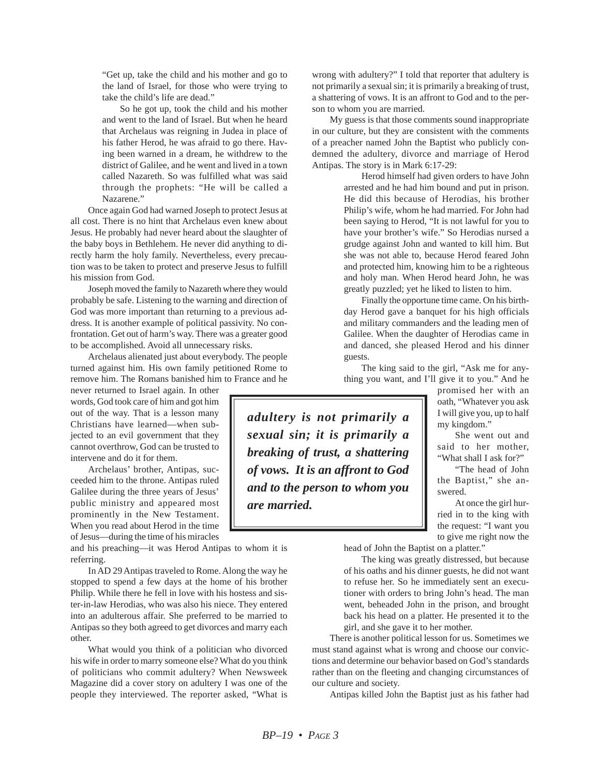"Get up, take the child and his mother and go to the land of Israel, for those who were trying to take the child's life are dead."

So he got up, took the child and his mother and went to the land of Israel. But when he heard that Archelaus was reigning in Judea in place of his father Herod, he was afraid to go there. Having been warned in a dream, he withdrew to the district of Galilee, and he went and lived in a town called Nazareth. So was fulfilled what was said through the prophets: "He will be called a Nazarene."

Once again God had warned Joseph to protect Jesus at all cost. There is no hint that Archelaus even knew about Jesus. He probably had never heard about the slaughter of the baby boys in Bethlehem. He never did anything to directly harm the holy family. Nevertheless, every precaution was to be taken to protect and preserve Jesus to fulfill his mission from God.

Joseph moved the family to Nazareth where they would probably be safe. Listening to the warning and direction of God was more important than returning to a previous address. It is another example of political passivity. No confrontation. Get out of harm's way. There was a greater good to be accomplished. Avoid all unnecessary risks.

Archelaus alienated just about everybody. The people turned against him. His own family petitioned Rome to remove him. The Romans banished him to France and he

never returned to Israel again. In other words, God took care of him and got him out of the way. That is a lesson many Christians have learned—when subjected to an evil government that they cannot overthrow, God can be trusted to intervene and do it for them.

Archelaus' brother, Antipas, succeeded him to the throne. Antipas ruled Galilee during the three years of Jesus' public ministry and appeared most prominently in the New Testament. When you read about Herod in the time of Jesus—during the time of his miracles

and his preaching—it was Herod Antipas to whom it is referring.

In AD 29 Antipas traveled to Rome. Along the way he stopped to spend a few days at the home of his brother Philip. While there he fell in love with his hostess and sister-in-law Herodias, who was also his niece. They entered into an adulterous affair. She preferred to be married to Antipas so they both agreed to get divorces and marry each other.

What would you think of a politician who divorced his wife in order to marry someone else? What do you think of politicians who commit adultery? When Newsweek Magazine did a cover story on adultery I was one of the people they interviewed. The reporter asked, "What is wrong with adultery?" I told that reporter that adultery is not primarily a sexual sin; it is primarily a breaking of trust, a shattering of vows. It is an affront to God and to the person to whom you are married.

My guess is that those comments sound inappropriate in our culture, but they are consistent with the comments of a preacher named John the Baptist who publicly condemned the adultery, divorce and marriage of Herod Antipas. The story is in Mark 6:17-29:

> Herod himself had given orders to have John arrested and he had him bound and put in prison. He did this because of Herodias, his brother Philip's wife, whom he had married. For John had been saying to Herod, "It is not lawful for you to have your brother's wife." So Herodias nursed a grudge against John and wanted to kill him. But she was not able to, because Herod feared John and protected him, knowing him to be a righteous and holy man. When Herod heard John, he was greatly puzzled; yet he liked to listen to him.

> Finally the opportune time came. On his birthday Herod gave a banquet for his high officials and military commanders and the leading men of Galilee. When the daughter of Herodias came in and danced, she pleased Herod and his dinner guests.

> The king said to the girl, "Ask me for anything you want, and I'll give it to you." And he

*adultery is not primarily a sexual sin; it is primarily a breaking of trust, a shattering of vows. It is an affront to God and to the person to whom you are married.*

promised her with an oath, "Whatever you ask I will give you, up to half my kingdom."

She went out and said to her mother, "What shall I ask for?"

"The head of John the Baptist," she answered.

At once the girl hurried in to the king with the request: "I want you to give me right now the

head of John the Baptist on a platter."

The king was greatly distressed, but because of his oaths and his dinner guests, he did not want to refuse her. So he immediately sent an executioner with orders to bring John's head. The man went, beheaded John in the prison, and brought back his head on a platter. He presented it to the girl, and she gave it to her mother.

There is another political lesson for us. Sometimes we must stand against what is wrong and choose our convictions and determine our behavior based on God's standards rather than on the fleeting and changing circumstances of our culture and society.

Antipas killed John the Baptist just as his father had